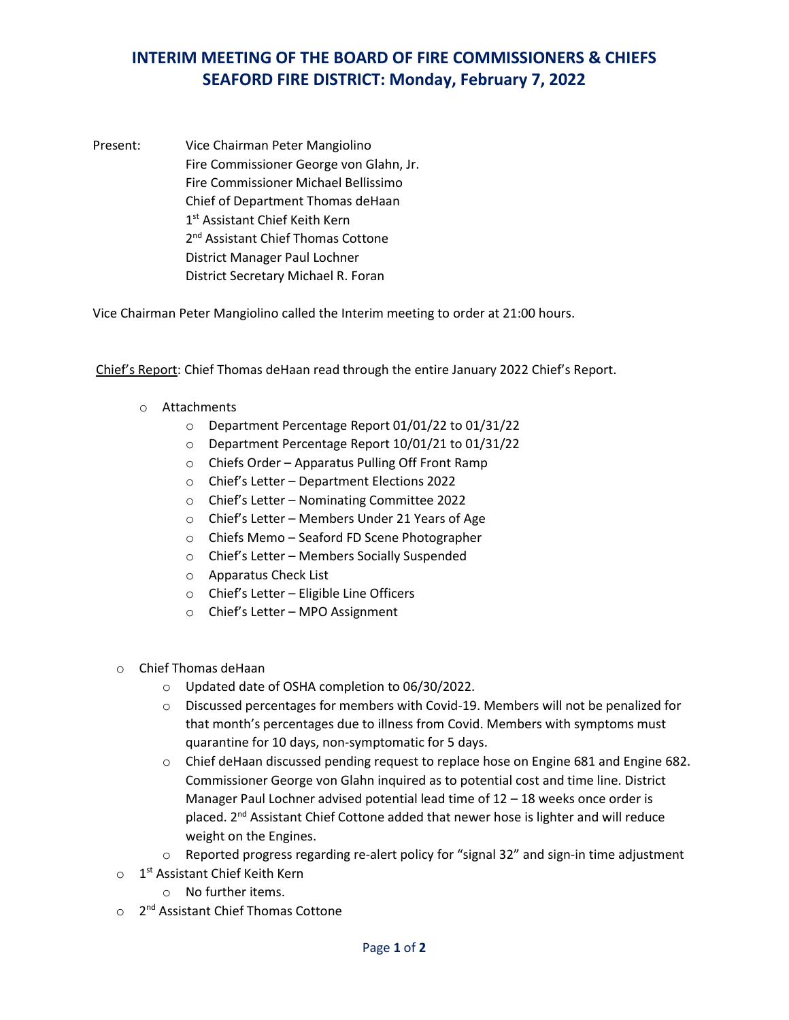## **INTERIM MEETING OF THE BOARD OF FIRE COMMISSIONERS & CHIEFS SEAFORD FIRE DISTRICT: Monday, February 7, 2022**

Present: Vice Chairman Peter Mangiolino Fire Commissioner George von Glahn, Jr. Fire Commissioner Michael Bellissimo Chief of Department Thomas deHaan 1st Assistant Chief Keith Kern 2<sup>nd</sup> Assistant Chief Thomas Cottone District Manager Paul Lochner District Secretary Michael R. Foran

Vice Chairman Peter Mangiolino called the Interim meeting to order at 21:00 hours.

Chief's Report: Chief Thomas deHaan read through the entire January 2022 Chief's Report.

- o Attachments
	- o Department Percentage Report 01/01/22 to 01/31/22
	- o Department Percentage Report 10/01/21 to 01/31/22
	- o Chiefs Order Apparatus Pulling Off Front Ramp
	- o Chief's Letter Department Elections 2022
	- o Chief's Letter Nominating Committee 2022
	- o Chief's Letter Members Under 21 Years of Age
	- o Chiefs Memo Seaford FD Scene Photographer
	- o Chief's Letter Members Socially Suspended
	- o Apparatus Check List
	- o Chief's Letter Eligible Line Officers
	- o Chief's Letter MPO Assignment
- o Chief Thomas deHaan
	- o Updated date of OSHA completion to 06/30/2022.
	- o Discussed percentages for members with Covid-19. Members will not be penalized for that month's percentages due to illness from Covid. Members with symptoms must quarantine for 10 days, non-symptomatic for 5 days.
	- $\circ$  Chief deHaan discussed pending request to replace hose on Engine 681 and Engine 682. Commissioner George von Glahn inquired as to potential cost and time line. District Manager Paul Lochner advised potential lead time of 12 – 18 weeks once order is placed. 2<sup>nd</sup> Assistant Chief Cottone added that newer hose is lighter and will reduce weight on the Engines.
	- o Reported progress regarding re-alert policy for "signal 32" and sign-in time adjustment
- o 1<sup>st</sup> Assistant Chief Keith Kern
	- o No further items.
- o 2<sup>nd</sup> Assistant Chief Thomas Cottone